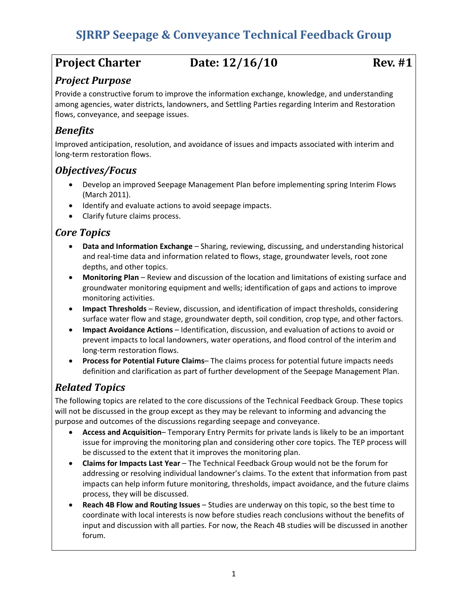# **SJRRP Seepage & Conveyance Technical Feedback Group**

# **Project Charter Date: 12/16/10 Rev. #1**

## *Project Purpose*

Provide a constructive forum to improve the information exchange, knowledge, and understanding among agencies, water districts, landowners, and Settling Parties regarding Interim and Restoration flows, conveyance, and seepage issues.

## *Benefits*

Improved anticipation, resolution, and avoidance of issues and impacts associated with interim and long‐term restoration flows.

### *Objectives/Focus*

- Develop an improved Seepage Management Plan before implementing spring Interim Flows (March 2011).
- Identify and evaluate actions to avoid seepage impacts.
- Clarify future claims process.

# *Core Topics*

- **Data and Information Exchange** Sharing, reviewing, discussing, and understanding historical and real‐time data and information related to flows, stage, groundwater levels, root zone depths, and other topics.
- **Monitoring Plan** Review and discussion of the location and limitations of existing surface and groundwater monitoring equipment and wells; identification of gaps and actions to improve monitoring activities.
- **Impact Thresholds** Review, discussion, and identification of impact thresholds, considering surface water flow and stage, groundwater depth, soil condition, crop type, and other factors.
- **Impact Avoidance Actions** Identification, discussion, and evaluation of actions to avoid or prevent impacts to local landowners, water operations, and flood control of the interim and long‐term restoration flows.
- **Process for Potential Future Claims** The claims process for potential future impacts needs definition and clarification as part of further development of the Seepage Management Plan.

# *Related Topics*

The following topics are related to the core discussions of the Technical Feedback Group. These topics will not be discussed in the group except as they may be relevant to informing and advancing the purpose and outcomes of the discussions regarding seepage and conveyance.

- **Access and Acquisition** Temporary Entry Permits for private lands is likely to be an important issue for improving the monitoring plan and considering other core topics. The TEP process will be discussed to the extent that it improves the monitoring plan.
- **Claims for Impacts Last Year** The Technical Feedback Group would not be the forum for addressing or resolving individual landowner's claims. To the extent that information from past impacts can help inform future monitoring, thresholds, impact avoidance, and the future claims process, they will be discussed.
- **Reach 4B Flow and Routing Issues** Studies are underway on this topic, so the best time to coordinate with local interests is now before studies reach conclusions without the benefits of input and discussion with all parties. For now, the Reach 4B studies will be discussed in another forum.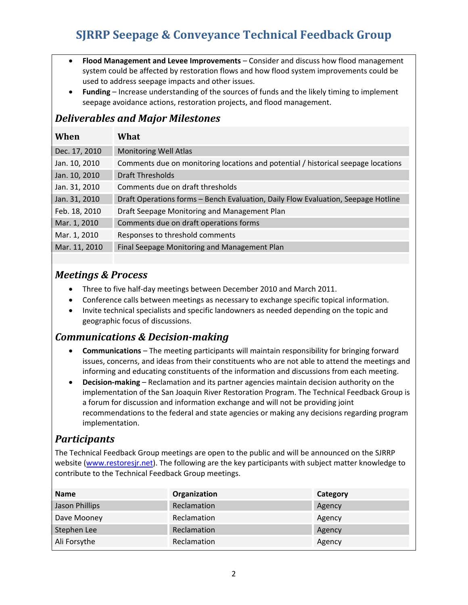# **SJRRP Seepage & Conveyance Technical Feedback Group**

- **Flood Management and Levee Improvements** Consider and discuss how flood management system could be affected by restoration flows and how flood system improvements could be used to address seepage impacts and other issues.
- **Funding** Increase understanding of the sources of funds and the likely timing to implement seepage avoidance actions, restoration projects, and flood management.

# *Deliverables and Major Milestones*

| When          | What                                                                              |
|---------------|-----------------------------------------------------------------------------------|
| Dec. 17, 2010 | <b>Monitoring Well Atlas</b>                                                      |
| Jan. 10, 2010 | Comments due on monitoring locations and potential / historical seepage locations |
| Jan. 10, 2010 | <b>Draft Thresholds</b>                                                           |
| Jan. 31, 2010 | Comments due on draft thresholds                                                  |
| Jan. 31, 2010 | Draft Operations forms - Bench Evaluation, Daily Flow Evaluation, Seepage Hotline |
| Feb. 18, 2010 | Draft Seepage Monitoring and Management Plan                                      |
| Mar. 1, 2010  | Comments due on draft operations forms                                            |
| Mar. 1, 2010  | Responses to threshold comments                                                   |
| Mar. 11, 2010 | Final Seepage Monitoring and Management Plan                                      |

# *Meetings & Process*

- Three to five half‐day meetings between December 2010 and March 2011.
- Conference calls between meetings as necessary to exchange specific topical information.
- Invite technical specialists and specific landowners as needed depending on the topic and geographic focus of discussions.

### *Communications & Decisionmaking*

- **Communications** The meeting participants will maintain responsibility for bringing forward issues, concerns, and ideas from their constituents who are not able to attend the meetings and informing and educating constituents of the information and discussions from each meeting.
- **Decision‐making** Reclamation and its partner agencies maintain decision authority on the implementation of the San Joaquin River Restoration Program. The Technical Feedback Group is a forum for discussion and information exchange and will not be providing joint recommendations to the federal and state agencies or making any decisions regarding program implementation.

### *Participants*

The Technical Feedback Group meetings are open to the public and will be announced on the SJRRP website (www.restoresjr.net). The following are the key participants with subject matter knowledge to contribute to the Technical Feedback Group meetings.

| <b>Name</b>    | Organization | Category |
|----------------|--------------|----------|
| Jason Phillips | Reclamation  | Agency   |
| Dave Mooney    | Reclamation  | Agency   |
| Stephen Lee    | Reclamation  | Agency   |
| Ali Forsythe   | Reclamation  | Agency   |